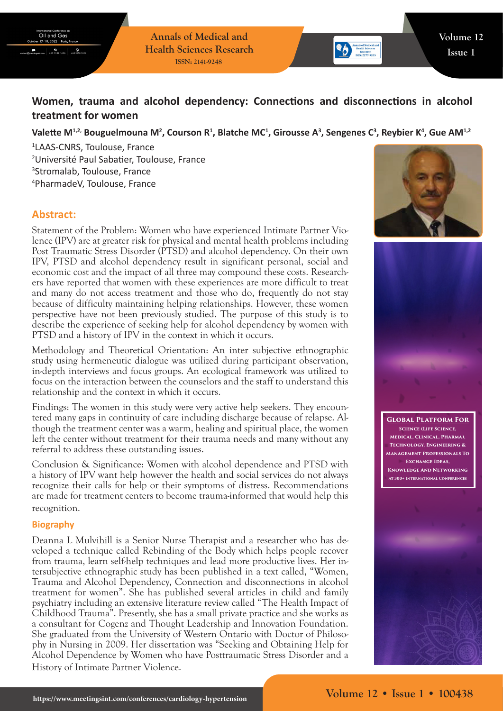**Annals of Medical and Health Sciences Research ISSN: 2141-9248**

# **Women, trauma and alcohol dependency: Connections and disconnections in alcohol treatment for women**

## Valette M<sup>1,2,</sup> Bouguelmouna M<sup>2</sup>, Courson R<sup>1</sup>, Blatche MC<sup>1</sup>, Girousse A<sup>3</sup>, Sengenes C<sup>3</sup>, Reybier K<sup>4</sup>, Gue AM<sup>1,2</sup>

 LAAS-CNRS, Toulouse, France Université Paul Sabatier, Toulouse, France Stromalab, Toulouse, France PharmadeV, Toulouse, France

# **Abstract:**

Statement of the Problem: Women who have experienced Intimate Partner Violence (IPV) are at greater risk for physical and mental health problems including Post Traumatic Stress Disorder (PTSD) and alcohol dependency. On their own IPV, PTSD and alcohol dependency result in significant personal, social and economic cost and the impact of all three may compound these costs. Researchers have reported that women with these experiences are more difficult to treat and many do not access treatment and those who do, frequently do not stay because of difficulty maintaining helping relationships. However, these women perspective have not been previously studied. The purpose of this study is to describe the experience of seeking help for alcohol dependency by women with PTSD and a history of IPV in the context in which it occurs.

Methodology and Theoretical Orientation: An inter subjective ethnographic study using hermeneutic dialogue was utilized during participant observation, in-depth interviews and focus groups. An ecological framework was utilized to focus on the interaction between the counselors and the staff to understand this relationship and the context in which it occurs.

Findings: The women in this study were very active help seekers. They encountered many gaps in continuity of care including discharge because of relapse. Although the treatment center was a warm, healing and spiritual place, the women left the center without treatment for their trauma needs and many without any referral to address these outstanding issues.

Conclusion & Significance: Women with alcohol dependence and PTSD with a history of IPV want help however the health and social services do not always recognize their calls for help or their symptoms of distress. Recommendations are made for treatment centers to become trauma-informed that would help this recognition.

#### **Biography**

Deanna L Mulvihill is a Senior Nurse Therapist and a researcher who has developed a technique called Rebinding of the Body which helps people recover from trauma, learn self-help techniques and lead more productive lives. Her intersubjective ethnographic study has been published in a text called, "Women, Trauma and Alcohol Dependency, Connection and disconnections in alcohol treatment for women". She has published several articles in child and family psychiatry including an extensive literature review called "The Health Impact of Childhood Trauma". Presently, she has a small private practice and she works as a consultant for Cogenz and Thought Leadership and Innovation Foundation. She graduated from the University of Western Ontario with Doctor of Philosophy in Nursing in 2009. Her dissertation was "Seeking and Obtaining Help for Alcohol Dependence by Women who have Posttraumatic Stress Disorder and a History of Intimate Partner Violence.





**Global Platform For Science (Life Science, Medical, Clinical, Pharma), Technology, Engineering & Management Professionals To Exchange Ideas, Knowledge And Networking At 300+ International Conferences**